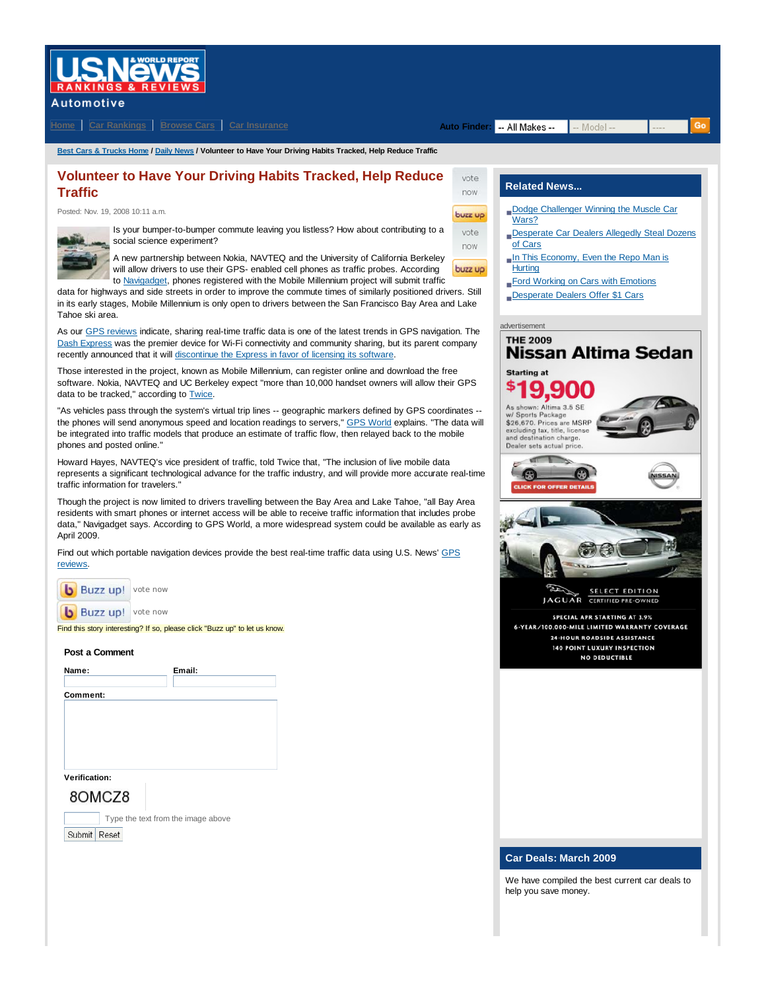# **ISNëWS**

## **Automotive**

**Home Car Rankings Browse Cars Car Insurance Auto Finder: Auto Finder: All Makes --**

vote now buzz up vote now

-- Model --

**Best Cars & Trucks Home / Daily News / Volunteer to Have Your Driving Habits Tracked, Help Reduce Traffic**

## **Volunteer to Have Your Driving Habits Tracked, Help Reduce Traffic**

Posted: Nov. 19, 2008 10:11 a.m.



Is your bumper-to-bumper commute leaving you listless? How about contributing to a social science experiment?

A new partnership between Nokia, NAVTEQ and the University of California Berkeley will allow drivers to use their GPS- enabled cell phones as traffic probes. According buzz up to Navigadget, phones registered with the Mobile Millennium project will submit traffic

data for highways and side streets in order to improve the commute times of similarly positioned drivers. Still in its early stages, Mobile Millennium is only open to drivers between the San Francisco Bay Area and Lake Tahoe ski area.

As our GPS reviews indicate, sharing real-time traffic data is one of the latest trends in GPS navigation. The Dash Express was the premier device for Wi-Fi connectivity and community sharing, but its parent company recently announced that it will discontinue the Express in favor of licensing its software.

Those interested in the project, known as Mobile Millennium, can register online and download the free software. Nokia, NAVTEQ and UC Berkeley expect "more than 10,000 handset owners will allow their GPS data to be tracked," according to Twice.

"As vehicles pass through the system's virtual trip lines -- geographic markers defined by GPS coordinates - the phones will send anonymous speed and location readings to servers," GPS World explains. "The data will be integrated into traffic models that produce an estimate of traffic flow, then relayed back to the mobile phones and posted online."

Howard Hayes, NAVTEQ's vice president of traffic, told Twice that, "The inclusion of live mobile data represents a significant technological advance for the traffic industry, and will provide more accurate real-time traffic information for travelers."

Though the project is now limited to drivers travelling between the Bay Area and Lake Tahoe, "all Bay Area residents with smart phones or internet access will be able to receive traffic information that includes probe data," Navigadget says. According to GPS World, a more widespread system could be available as early as April 2009.

Find out which portable navigation devices provide the best real-time traffic data using U.S. News' GPS reviews.

| Buzz un! | vote now |
|----------|----------|
| Buzz up! | vote now |

Find this story interesting? If so, please click "Buzz up" to let us know.

#### **Post a Comment**

| Name:          | Email:                             |
|----------------|------------------------------------|
| Comment:       |                                    |
|                |                                    |
|                |                                    |
|                |                                    |
| Verification:  |                                    |
| 8OMCZ8         |                                    |
|                | Type the text from the image above |
| Submit   Reset |                                    |

## **Related News...**

- Dodge Challenger Winning the Muscle Car Wars?
- **Desperate Car Dealers Allegedly Steal Dozens** of Cars
- In This Economy, Even the Repo Man is **Hurting**
- Ford Working on Cars with Emotions
- Desperate Dealers Offer \$1 Cars



### **Car Deals: March 2009**

We have compiled the best current car deals to help you save money.